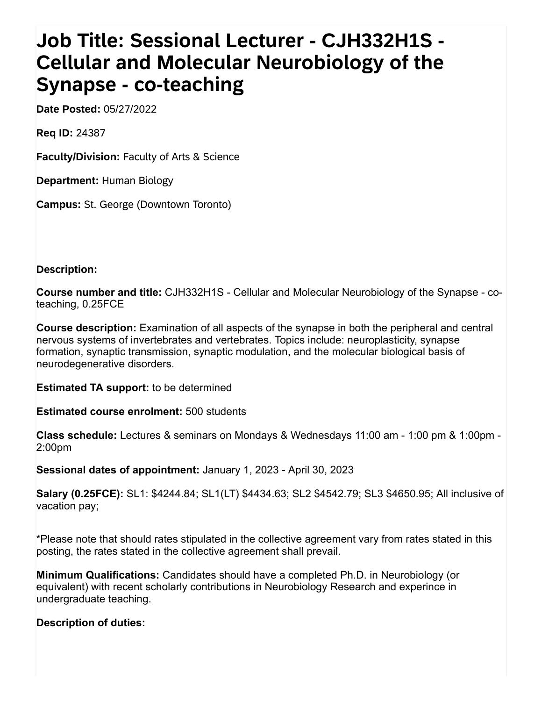## **Job Title: Sessional Lecturer - CJH332H1S - Cellular and Molecular Neurobiology of the Synapse - co-teaching**

**Date Posted:** 05/27/2022

**Req ID:** 24387

**Faculty/Division:** Faculty of Arts & Science

**Department:** Human Biology

**Campus:** St. George (Downtown Toronto)

**Description:**

**Course number and title:** CJH332H1S - Cellular and Molecular Neurobiology of the Synapse - coteaching, 0.25FCE

**Course description:** Examination of all aspects of the synapse in both the peripheral and central nervous systems of invertebrates and vertebrates. Topics include: neuroplasticity, synapse formation, synaptic transmission, synaptic modulation, and the molecular biological basis of neurodegenerative disorders.

**Estimated TA support:** to be determined

**Estimated course enrolment:** 500 students

**Class schedule:** Lectures & seminars on Mondays & Wednesdays 11:00 am - 1:00 pm & 1:00pm - 2:00pm

**Sessional dates of appointment:** January 1, 2023 - April 30, 2023

**Salary (0.25FCE):** SL1: \$4244.84; SL1(LT) \$4434.63; SL2 \$4542.79; SL3 \$4650.95; All inclusive of vacation pay;

\*Please note that should rates stipulated in the collective agreement vary from rates stated in this posting, the rates stated in the collective agreement shall prevail.

**Minimum Qualifications:** Candidates should have a completed Ph.D. in Neurobiology (or equivalent) with recent scholarly contributions in Neurobiology Research and experince in undergraduate teaching.

## **Description of duties:**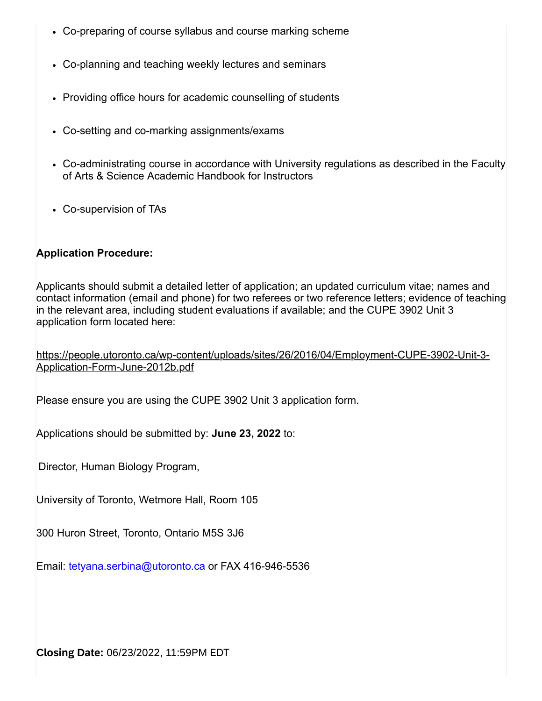- Co-preparing of course syllabus and course marking scheme
- Co-planning and teaching weekly lectures and seminars
- Providing office hours for academic counselling of students
- Co-setting and co-marking assignments/exams
- Co-administrating course in accordance with University regulations as described in the Faculty of Arts & Science Academic Handbook for Instructors
- Co-supervision of TAs

## **Application Procedure:**

Applicants should submit a detailed letter of application; an updated curriculum vitae; names and contact information (email and phone) for two referees or two reference letters; evidence of teaching in the relevant area, including student evaluations if available; and the CUPE 3902 Unit 3 application form located here:

[https://people.utoronto.ca/wp-content/uploads/sites/26/2016/04/Employment-CUPE-3902-Unit-3-](javascript:void(0);) Application-Form-June-2012b.pdf

Please ensure you are using the CUPE 3902 Unit 3 application form.

Applications should be submitted by: **June 23, 2022** to:

Director, Human Biology Program,

University of Toronto, Wetmore Hall, Room 105

300 Huron Street, Toronto, Ontario M5S 3J6

Email: [tetyana.serbina@utoronto.ca](javascript:void(0);) or FAX 416-946-5536

**Closing Date:** 06/23/2022, 11:59PM EDT